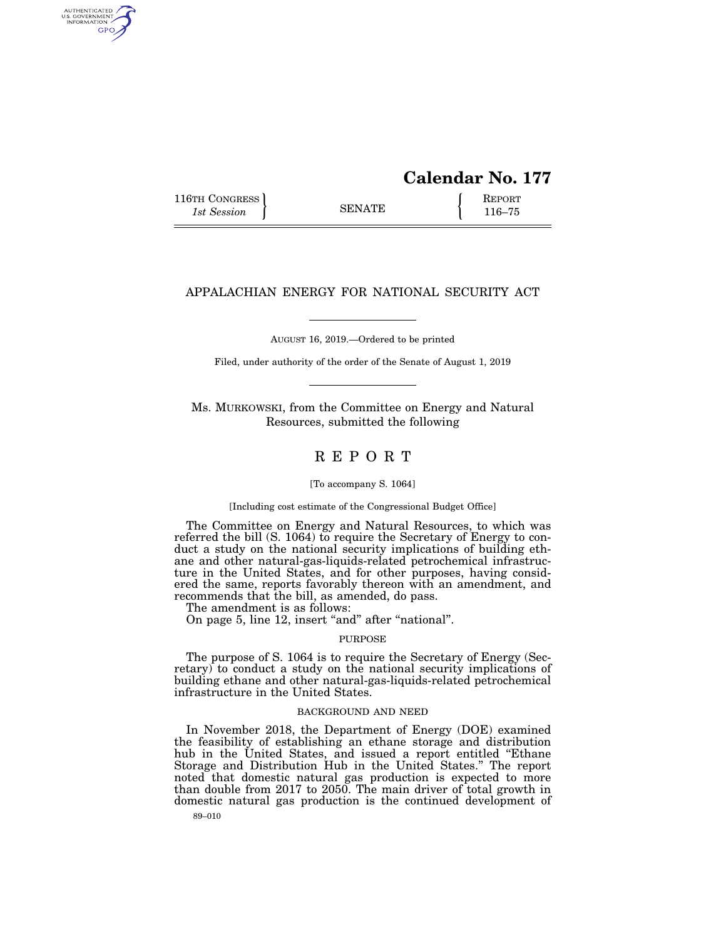# **Calendar No. 177**

116TH CONGRESS **REPORT** 116-75

AUTHENTICATED<br>U.S. GOVERNMENT<br>INFORMATION GPO

# APPALACHIAN ENERGY FOR NATIONAL SECURITY ACT

AUGUST 16, 2019.—Ordered to be printed

Filed, under authority of the order of the Senate of August 1, 2019

Ms. MURKOWSKI, from the Committee on Energy and Natural Resources, submitted the following

# R E P O R T

### [To accompany S. 1064]

### [Including cost estimate of the Congressional Budget Office]

The Committee on Energy and Natural Resources, to which was referred the bill (S. 1064) to require the Secretary of Energy to conduct a study on the national security implications of building ethane and other natural-gas-liquids-related petrochemical infrastructure in the United States, and for other purposes, having considered the same, reports favorably thereon with an amendment, and recommends that the bill, as amended, do pass.

The amendment is as follows:

On page 5, line 12, insert "and" after "national".

### PURPOSE

The purpose of S. 1064 is to require the Secretary of Energy (Secretary) to conduct a study on the national security implications of building ethane and other natural-gas-liquids-related petrochemical infrastructure in the United States.

### BACKGROUND AND NEED

In November 2018, the Department of Energy (DOE) examined the feasibility of establishing an ethane storage and distribution hub in the United States, and issued a report entitled ''Ethane Storage and Distribution Hub in the United States.'' The report noted that domestic natural gas production is expected to more than double from 2017 to 2050. The main driver of total growth in domestic natural gas production is the continued development of

89–010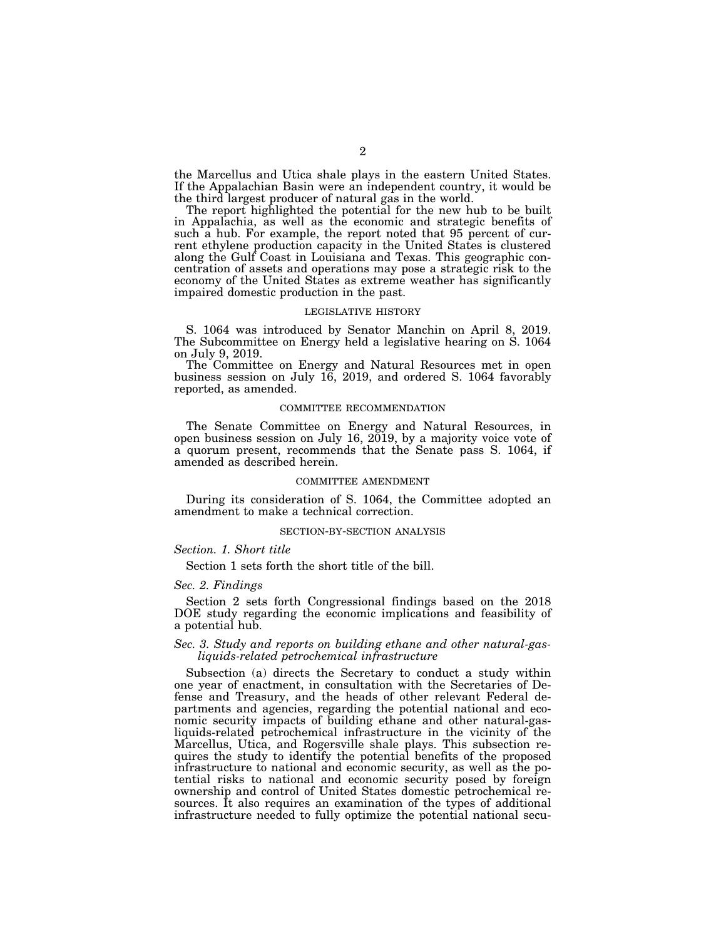the Marcellus and Utica shale plays in the eastern United States. If the Appalachian Basin were an independent country, it would be the third largest producer of natural gas in the world.

The report highlighted the potential for the new hub to be built in Appalachia, as well as the economic and strategic benefits of such a hub. For example, the report noted that 95 percent of current ethylene production capacity in the United States is clustered along the Gulf Coast in Louisiana and Texas. This geographic concentration of assets and operations may pose a strategic risk to the economy of the United States as extreme weather has significantly impaired domestic production in the past.

#### LEGISLATIVE HISTORY

S. 1064 was introduced by Senator Manchin on April 8, 2019. The Subcommittee on Energy held a legislative hearing on S. 1064 on July 9, 2019.

The Committee on Energy and Natural Resources met in open business session on July 16, 2019, and ordered S. 1064 favorably reported, as amended.

### COMMITTEE RECOMMENDATION

The Senate Committee on Energy and Natural Resources, in open business session on July 16, 2019, by a majority voice vote of a quorum present, recommends that the Senate pass S. 1064, if amended as described herein.

### COMMITTEE AMENDMENT

During its consideration of S. 1064, the Committee adopted an amendment to make a technical correction.

### SECTION-BY-SECTION ANALYSIS

### *Section. 1. Short title*

Section 1 sets forth the short title of the bill.

# *Sec. 2. Findings*

Section 2 sets forth Congressional findings based on the 2018 DOE study regarding the economic implications and feasibility of a potential hub.

# *Sec. 3. Study and reports on building ethane and other natural-gasliquids-related petrochemical infrastructure*

Subsection (a) directs the Secretary to conduct a study within one year of enactment, in consultation with the Secretaries of Defense and Treasury, and the heads of other relevant Federal departments and agencies, regarding the potential national and economic security impacts of building ethane and other natural-gasliquids-related petrochemical infrastructure in the vicinity of the Marcellus, Utica, and Rogersville shale plays. This subsection requires the study to identify the potential benefits of the proposed infrastructure to national and economic security, as well as the potential risks to national and economic security posed by foreign ownership and control of United States domestic petrochemical resources. It also requires an examination of the types of additional infrastructure needed to fully optimize the potential national secu-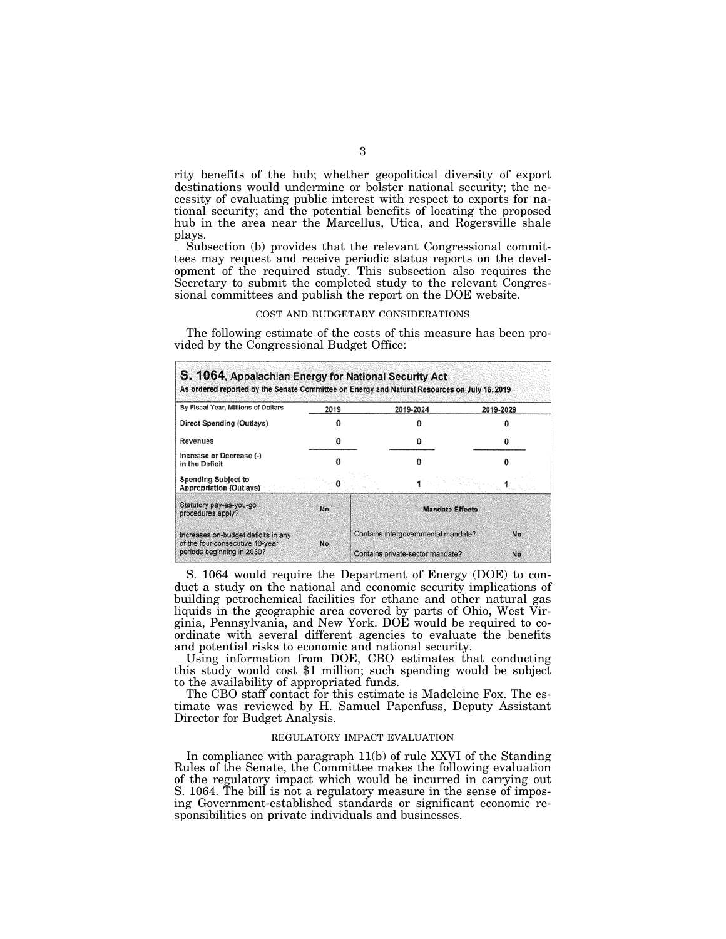rity benefits of the hub; whether geopolitical diversity of export destinations would undermine or bolster national security; the necessity of evaluating public interest with respect to exports for national security; and the potential benefits of locating the proposed hub in the area near the Marcellus, Utica, and Rogersville shale plays.

Subsection (b) provides that the relevant Congressional committees may request and receive periodic status reports on the development of the required study. This subsection also requires the Secretary to submit the completed study to the relevant Congressional committees and publish the report on the DOE website.

### COST AND BUDGETARY CONSIDERATIONS

The following estimate of the costs of this measure has been provided by the Congressional Budget Office:

| By Fiscal Year, Millions of Dollars                           | 2019      |                                                  | 2019-2024                        | 2019-2029 |
|---------------------------------------------------------------|-----------|--------------------------------------------------|----------------------------------|-----------|
| Direct Spending (Outlays)                                     |           |                                                  |                                  |           |
| <b>Revenues</b>                                               |           |                                                  |                                  |           |
| Increase or Decrease (-)<br>in the Deficit                    |           |                                                  |                                  |           |
| <b>Spending Subject to</b><br><b>Appropriation (Outlays)</b>  |           |                                                  |                                  |           |
| Statutory pay-as-you-go<br>procedures apply?                  | No        | <b>Mandate Effects</b>                           |                                  |           |
| Increases on-budget deficits in any                           | <b>No</b> | Contains intergovernmental mandate?<br><b>No</b> |                                  |           |
| of the four consecutive 10-year<br>periods beginning in 2030? |           |                                                  | Contains private-sector mandate? | <b>No</b> |

S. 1064 would require the Department of Energy (DOE) to conduct a study on the national and economic security implications of building petrochemical facilities for ethane and other natural gas liquids in the geographic area covered by parts of Ohio, West Virginia, Pennsylvania, and New York. DOE would be required to coordinate with several different agencies to evaluate the benefits and potential risks to economic and national security.

Using information from DOE, CBO estimates that conducting this study would cost \$1 million; such spending would be subject to the availability of appropriated funds.

The CBO staff contact for this estimate is Madeleine Fox. The estimate was reviewed by H. Samuel Papenfuss, Deputy Assistant Director for Budget Analysis.

# REGULATORY IMPACT EVALUATION

In compliance with paragraph 11(b) of rule XXVI of the Standing Rules of the Senate, the Committee makes the following evaluation of the regulatory impact which would be incurred in carrying out S. 1064. The bill is not a regulatory measure in the sense of imposing Government-established standards or significant economic responsibilities on private individuals and businesses.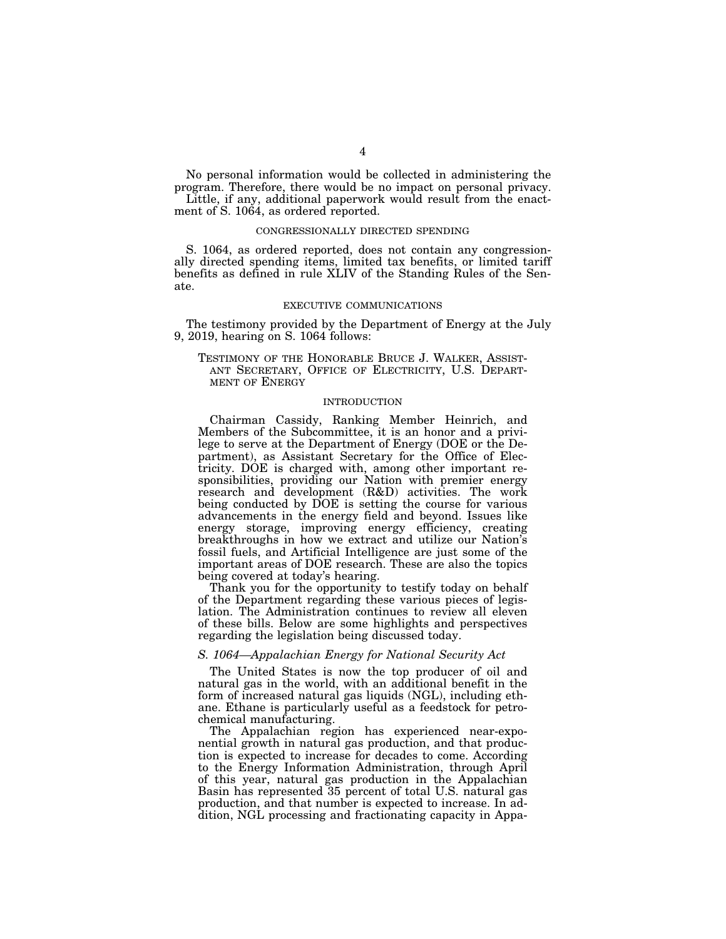No personal information would be collected in administering the program. Therefore, there would be no impact on personal privacy.

Little, if any, additional paperwork would result from the enactment of S. 1064, as ordered reported.

### CONGRESSIONALLY DIRECTED SPENDING

S. 1064, as ordered reported, does not contain any congressionally directed spending items, limited tax benefits, or limited tariff benefits as defined in rule XLIV of the Standing Rules of the Senate.

#### EXECUTIVE COMMUNICATIONS

The testimony provided by the Department of Energy at the July 9, 2019, hearing on S. 1064 follows:

# TESTIMONY OF THE HONORABLE BRUCE J. WALKER, ASSIST-ANT SECRETARY, OFFICE OF ELECTRICITY, U.S. DEPART-MENT OF ENERGY

## INTRODUCTION

Chairman Cassidy, Ranking Member Heinrich, and Members of the Subcommittee, it is an honor and a privilege to serve at the Department of Energy (DOE or the Department), as Assistant Secretary for the Office of Electricity. DOE is charged with, among other important responsibilities, providing our Nation with premier energy research and development (R&D) activities. The work being conducted by DOE is setting the course for various advancements in the energy field and beyond. Issues like energy storage, improving energy efficiency, creating breakthroughs in how we extract and utilize our Nation's fossil fuels, and Artificial Intelligence are just some of the important areas of DOE research. These are also the topics being covered at today's hearing.

Thank you for the opportunity to testify today on behalf of the Department regarding these various pieces of legislation. The Administration continues to review all eleven of these bills. Below are some highlights and perspectives regarding the legislation being discussed today.

### *S. 1064—Appalachian Energy for National Security Act*

The United States is now the top producer of oil and natural gas in the world, with an additional benefit in the form of increased natural gas liquids (NGL), including ethane. Ethane is particularly useful as a feedstock for petrochemical manufacturing.

The Appalachian region has experienced near-exponential growth in natural gas production, and that production is expected to increase for decades to come. According to the Energy Information Administration, through April of this year, natural gas production in the Appalachian Basin has represented 35 percent of total U.S. natural gas production, and that number is expected to increase. In addition, NGL processing and fractionating capacity in Appa